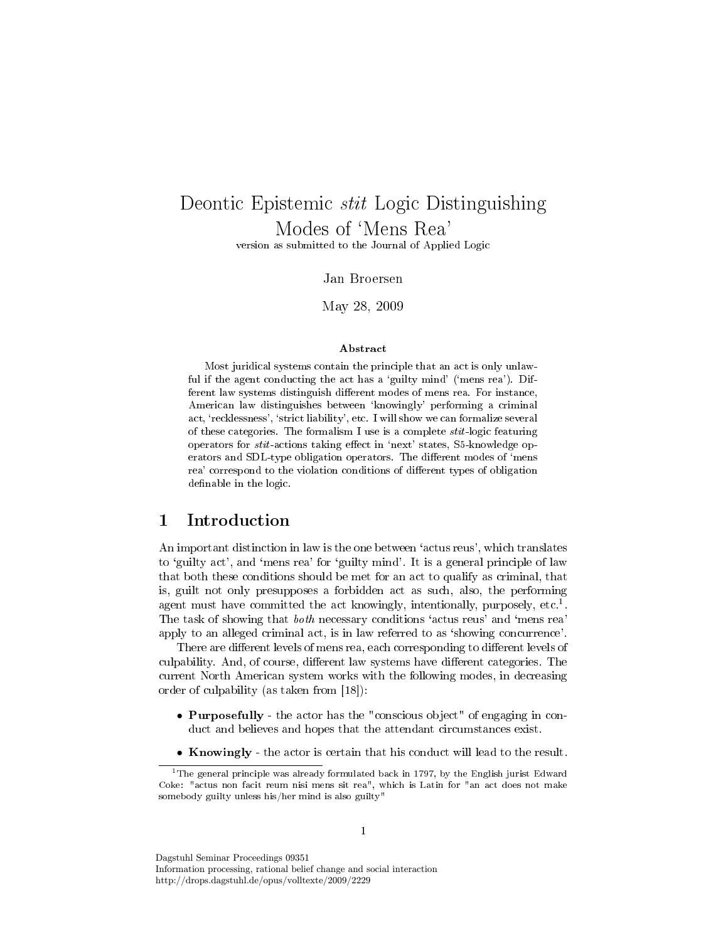# Deontic Epistemic stit Logic Distinguishing Modes of `Mens Rea' version as submitted to the Journal of Applied Logic

#### Jan Broersen

May 28, 2009

#### Abstract

Most juridical systems contain the principle that an act is only unlawful if the agent conducting the act has a 'guilty mind' ('mens rea'). Different law systems distinguish different modes of mens rea. For instance, American law distinguishes between `knowingly' performing a criminal act, 'recklessness', 'strict liability', etc. I will show we can formalize several of these categories. The formalism I use is a complete stit-logic featuring operators for stit-actions taking effect in 'next' states, S5-knowledge operators and SDL-type obligation operators. The different modes of 'mens rea' correspond to the violation conditions of different types of obligation definable in the logic.

#### 1 Introduction

An important distinction in law is the one between 'actus reus', which translates to 'guilty act', and 'mens rea' for 'guilty mind'. It is a general principle of law that both these conditions should be met for an act to qualify as criminal, that is, guilt not only presupposes a forbidden act as such, also, the performing agent must have committed the act knowingly, intentionally, purposely, etc.<sup>1</sup>. The task of showing that *both* necessary conditions 'actus reus' and 'mens rea' apply to an alleged criminal act, is in law referred to as `showing concurrence'.

There are different levels of mens rea, each corresponding to different levels of culpability. And, of course, different law systems have different categories. The current North American system works with the following modes, in decreasing order of culpability (as taken from [18]):

- Purposefully the actor has the "conscious object" of engaging in conduct and believes and hopes that the attendant circumstances exist.
- Knowingly the actor is certain that his conduct will lead to the result.

Dagstuhl Seminar Proceedings 09351 Information processing, rational belief change and social interaction http://drops.dagstuhl.de/opus/volltexte/2009/2229

 $^1$ The general principle was already formulated back in 1797, by the English jurist Edward Coke: "actus non facit reum nisi mens sit rea", which is Latin for "an act does not make somebody guilty unless his/her mind is also guilty"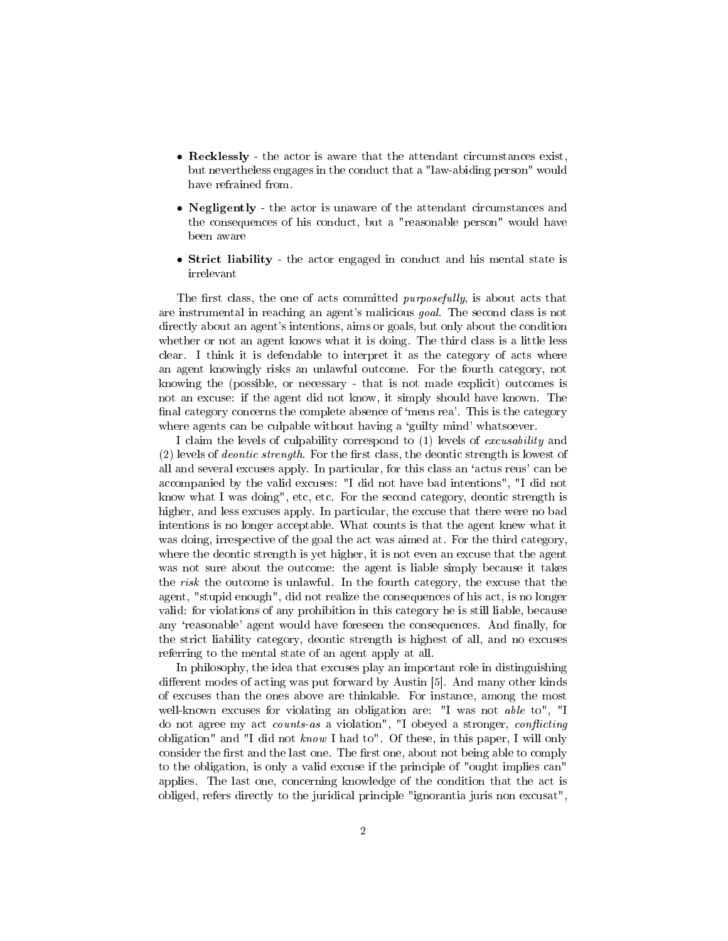- Recklessly the actor is aware that the attendant circumstances exist, but nevertheless engages in the conduct that a "law-abiding person" would have refrained from.
- Negligently the actor is unaware of the attendant circumstances and the consequences of his conduct, but a "reasonable person" would have been aware
- Strict liability the actor engaged in conduct and his mental state is irrelevant

The first class, the one of acts committed *purposefully*, is about acts that are instrumental in reaching an agent's malicious goal. The second class is not directly about an agent's intentions, aims or goals, but only about the condition whether or not an agent knows what it is doing. The third class is a little less clear. I think it is defendable to interpret it as the category of acts where an agent knowingly risks an unlawful outcome. For the fourth category, not knowing the (possible, or necessary - that is not made explicit) outcomes is not an excuse: if the agent did not know, it simply should have known. The final category concerns the complete absence of 'mens rea'. This is the category where agents can be culpable without having a 'guilty mind' whatsoever.

I claim the levels of culpability correspond to (1) levels of excusability and  $(2)$  levels of *deontic strength*. For the first class, the deontic strength is lowest of all and several excuses apply. In particular, for this class an `actus reus' can be accompanied by the valid excuses: "I did not have bad intentions", "I did not know what I was doing", etc, etc. For the second category, deontic strength is higher, and less excuses apply. In particular, the excuse that there were no bad intentions is no longer acceptable. What counts is that the agent knew what it was doing, irrespective of the goal the act was aimed at. For the third category, where the deontic strength is yet higher, it is not even an excuse that the agent was not sure about the outcome: the agent is liable simply because it takes the risk the outcome is unlawful. In the fourth category, the excuse that the agent, "stupid enough", did not realize the consequences of his act, is no longer valid: for violations of any prohibition in this category he is still liable, because any 'reasonable' agent would have foreseen the consequences. And finally, for the strict liability category, deontic strength is highest of all, and no excuses referring to the mental state of an agent apply at all.

In philosophy, the idea that excuses play an important role in distinguishing different modes of acting was put forward by Austin [5]. And many other kinds of excuses than the ones above are thinkable. For instance, among the most well-known excuses for violating an obligation are: "I was not able to", "I do not agree my act counts-as a violation", "I obeyed a stronger, conflicting obligation" and "I did not know I had to". Of these, in this paper, I will only consider the first and the last one. The first one, about not being able to comply to the obligation, is only a valid excuse if the principle of "ought implies can" applies. The last one, concerning knowledge of the condition that the act is obliged, refers directly to the juridical principle "ignorantia juris non excusat",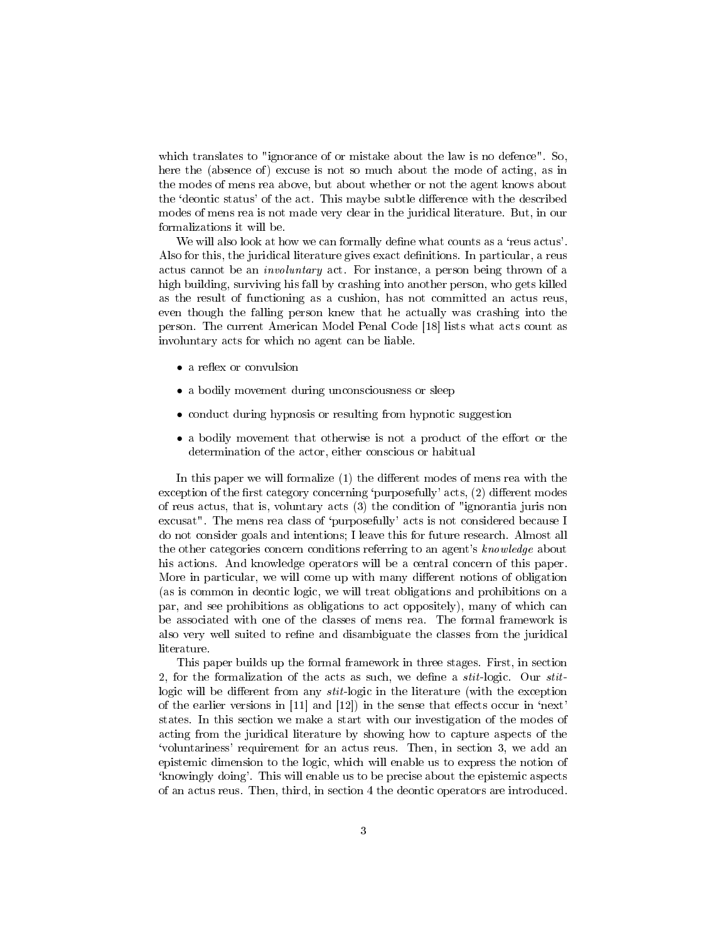which translates to "ignorance of or mistake about the law is no defence". So, here the (absence of) excuse is not so much about the mode of acting, as in the modes of mens rea above, but about whether or not the agent knows about the 'deontic status' of the act. This maybe subtle difference with the described modes of mens rea is not made very clear in the juridical literature. But, in our formalizations it will be.

We will also look at how we can formally define what counts as a 'reus actus'. Also for this, the juridical literature gives exact definitions. In particular, a reus actus cannot be an involuntary act. For instance, a person being thrown of a high building, surviving his fall by crashing into another person, who gets killed as the result of functioning as a cushion, has not committed an actus reus, even though the falling person knew that he actually was crashing into the person. The current American Model Penal Code [18] lists what acts count as involuntary acts for which no agent can be liable.

- a reflex or convulsion
- a bodily movement during unconsciousness or sleep
- conduct during hypnosis or resulting from hypnotic suggestion
- a bodily movement that otherwise is not a product of the effort or the determination of the actor, either conscious or habitual

In this paper we will formalize  $(1)$  the different modes of mens rea with the exception of the first category concerning 'purposefully' acts,  $(2)$  different modes of reus actus, that is, voluntary acts (3) the condition of "ignorantia juris non excusat". The mens rea class of `purposefully' acts is not considered because I do not consider goals and intentions; I leave this for future research. Almost all the other categories concern conditions referring to an agent's knowledge about his actions. And knowledge operators will be a central concern of this paper. More in particular, we will come up with many different notions of obligation (as is common in deontic logic, we will treat obligations and prohibitions on a par, and see prohibitions as obligations to act oppositely), many of which can be associated with one of the classes of mens rea. The formal framework is also very well suited to refine and disambiguate the classes from the juridical literature.

This paper builds up the formal framework in three stages. First, in section 2, for the formalization of the acts as such, we define a *stit-logic*. Our *stit*logic will be different from any  $stit$ -logic in the literature (with the exception of the earlier versions in  $[11]$  and  $[12]$ ) in the sense that effects occur in 'next' states. In this section we make a start with our investigation of the modes of acting from the juridical literature by showing how to capture aspects of the `voluntariness' requirement for an actus reus. Then, in section 3, we add an epistemic dimension to the logic, which will enable us to express the notion of `knowingly doing'. This will enable us to be precise about the epistemic aspects of an actus reus. Then, third, in section 4 the deontic operators are introduced.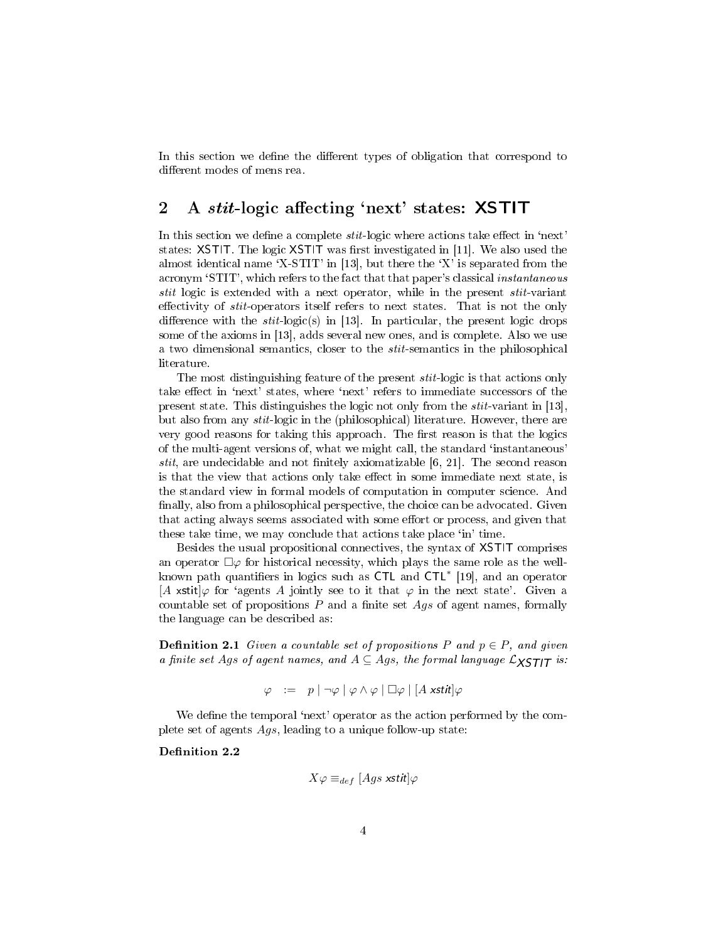In this section we define the different types of obligation that correspond to different modes of mens rea.

### 2 A *stit*-logic affecting 'next' states: **XSTIT**

In this section we define a complete  $stit$ -logic where actions take effect in 'next' states:  $XSTIT$ . The logic  $XSTIT$  was first investigated in [11]. We also used the almost identical name `X-STIT' in [13], but there the `X' is separated from the acronym 'STIT', which refers to the fact that that paper's classical *instantaneous* stit logic is extended with a next operator, while in the present stit-variant effectivity of  $stit$ -operators itself refers to next states. That is not the only difference with the  $stit\text{-}logic(s)$  in [13]. In particular, the present logic drops some of the axioms in [13], adds several new ones, and is complete. Also we use a two dimensional semantics, closer to the stit-semantics in the philosophical literature.

The most distinguishing feature of the present stit-logic is that actions only take effect in 'next' states, where 'next' refers to immediate successors of the present state. This distinguishes the logic not only from the stit-variant in [13], but also from any stit-logic in the (philosophical) literature. However, there are very good reasons for taking this approach. The first reason is that the logics of the multi-agent versions of, what we might call, the standard `instantaneous' stit, are undecidable and not finitely axiomatizable  $[6, 21]$ . The second reason is that the view that actions only take effect in some immediate next state, is the standard view in formal models of computation in computer science. And finally, also from a philosophical perspective, the choice can be advocated. Given that acting always seems associated with some effort or process, and given that these take time, we may conclude that actions take place `in' time.

Besides the usual propositional connectives, the syntax of XSTIT comprises an operator  $\Box \varphi$  for historical necessity, which plays the same role as the wellknown path quantifiers in logics such as CTL and CTL<sup>\*</sup> [19], and an operator [A xstit] $\varphi$  for 'agents A jointly see to it that  $\varphi$  in the next state'. Given a countable set of propositions  $P$  and a finite set  $Ags$  of agent names, formally the language can be described as:

**Definition 2.1** Given a countable set of propositions P and  $p \in P$ , and given a finite set Ags of agent names, and  $A \subseteq Ags$ , the formal language  $\mathcal{L}_{XSTIT}$  is:

$$
\varphi := p \mid \neg \varphi \mid \varphi \land \varphi \mid \Box \varphi \mid [A \text{ xstit}] \varphi
$$

We define the temporal 'next' operator as the action performed by the complete set of agents Ags, leading to a unique follow-up state:

Definition 2.2

$$
X\varphi \equiv_{def} [Ags \; xstit] \varphi
$$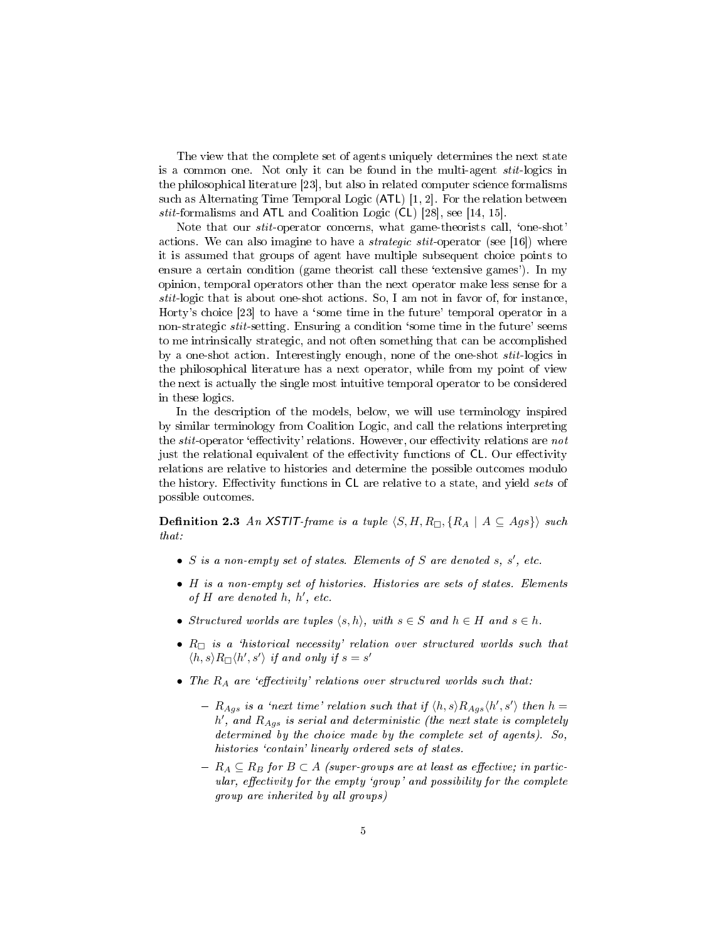The view that the complete set of agents uniquely determines the next state is a common one. Not only it can be found in the multi-agent stit-logics in the philosophical literature [23], but also in related computer science formalisms such as Alternating Time Temporal Logic (ATL) [1, 2]. For the relation between stit-formalisms and ATL and Coalition Logic (CL) [28], see [14, 15].

Note that our *stit*-operator concerns, what game-theorists call, 'one-shot' actions. We can also imagine to have a strategic stit-operator (see [16]) where it is assumed that groups of agent have multiple subsequent choice points to ensure a certain condition (game theorist call these 'extensive games'). In my opinion, temporal operators other than the next operator make less sense for a stit-logic that is about one-shot actions. So, I am not in favor of, for instance, Horty's choice [23] to have a 'some time in the future' temporal operator in a non-strategic stit-setting. Ensuring a condition 'some time in the future' seems to me intrinsically strategic, and not often something that can be accomplished by a one-shot action. Interestingly enough, none of the one-shot stit-logics in the philosophical literature has a next operator, while from my point of view the next is actually the single most intuitive temporal operator to be considered in these logics.

In the description of the models, below, we will use terminology inspired by similar terminology from Coalition Logic, and call the relations interpreting the  $stit$ -operator 'effectivity' relations. However, our effectivity relations are not just the relational equivalent of the effectivity functions of CL. Our effectivity relations are relative to histories and determine the possible outcomes modulo the history. Effectivity functions in CL are relative to a state, and yield sets of possible outcomes.

**Definition 2.3** An XSTIT-frame is a tuple  $\langle S, H, R_{\Box}, \{R_A | A \subseteq Ags\} \rangle$  such that:

- $\bullet$  S is a non-empty set of states. Elements of S are denoted s, s', etc.
- H is a non-empty set of histories. Histories are sets of states. Elements of  $H$  are denoted  $h, h', etc.$
- Structured worlds are tuples  $\langle s, h \rangle$ , with  $s \in S$  and  $h \in H$  and  $s \in h$ .
- $R_{\Box}$  is a 'historical necessity' relation over structured worlds such that  $\langle h, s \rangle R_{\Box} \langle h', s' \rangle$  if and only if  $s = s'$
- The  $R_A$  are 'effectivity' relations over structured worlds such that:
	- $-R_{Ags}$  is a 'next time' relation such that if  $\langle h, s \rangle R_{Ags} \langle h', s' \rangle$  then  $h =$ h', and  $R_{Ags}$  is serial and deterministic (the next state is completely determined by the choice made by the complete set of agents). So, histories 'contain' linearly ordered sets of states.
	- $R_A \subseteq R_B$  for  $B \subset A$  (super-groups are at least as effective; in particular, effectivity for the empty 'group' and possibility for the complete group are inherited by all groups)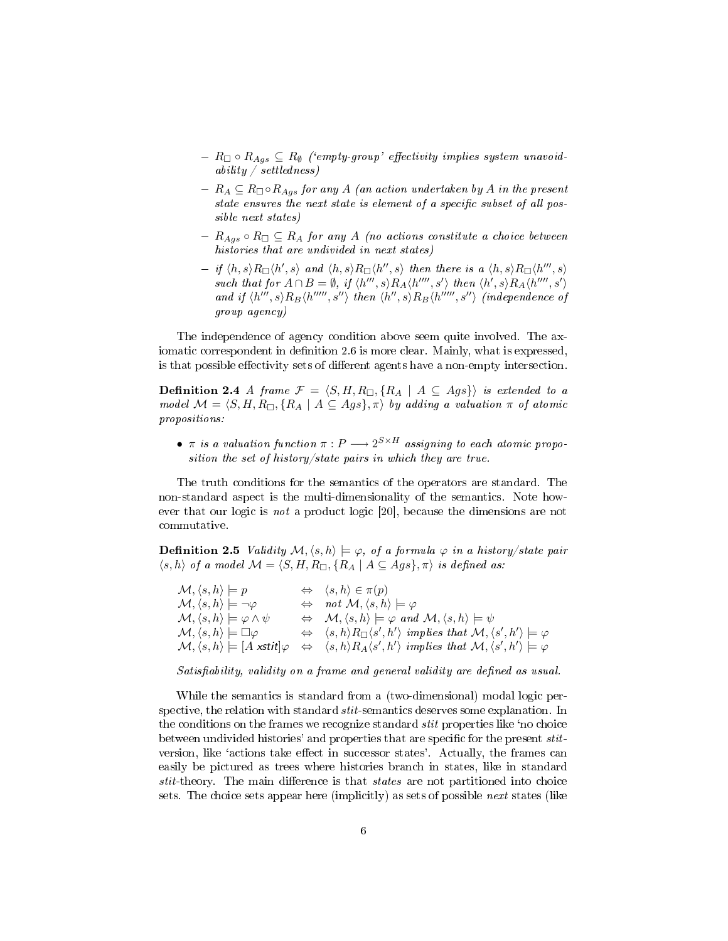- $R_{\Box} \circ R_{Ags} \subseteq R_{\emptyset}$  ('empty-group' effectivity implies system unavoid $ability / settledness)$
- $R_A \subseteq R_{\Box} \circ R_{Aqs}$  for any A (an action undertaken by A in the present state ensures the next state is element of a specific subset of all possible next states)
- $-R_{Ags} \circ R_{\Box} \subseteq R_A$  for any A (no actions constitute a choice between histories that are undivided in next states)
- $-$  if  $\langle h, s \rangle R_{\Box} \langle h', s \rangle$  and  $\langle h, s \rangle R_{\Box} \langle h'', s \rangle$  then there is a  $\langle h, s \rangle R_{\Box} \langle h''', s \rangle$ such that for  $A \cap B = \emptyset$ , if  $\langle h''', s \rangle R_A \langle h''''', s' \rangle$  then  $\langle h', s \rangle R_A \langle h''''', s' \rangle$ and if  $\langle h''', s \rangle R_B \langle h''''', s'' \rangle$  then  $\langle h'', s \rangle R_B \langle h''''', s'' \rangle$  (independence of group agency)

The independence of agency condition above seem quite involved. The axiomatic correspondent in definition 2.6 is more clear. Mainly, what is expressed, is that possible effectivity sets of different agents have a non-empty intersection.

**Definition 2.4** A frame  $\mathcal{F} = \langle S, H, R_{\Box}, \{R_A \mid A \subseteq Ags\} \rangle$  is extended to a model  $\mathcal{M} = \langle S, H, R_{\Box}, \{R_A \mid A \subseteq Ags\}, \pi \rangle$  by adding a valuation  $\pi$  of atomic propositions:

•  $\pi$  is a valuation function  $\pi : P \longrightarrow 2^{S \times H}$  assigning to each atomic proposition the set of history/state pairs in which they are true.

The truth conditions for the semantics of the operators are standard. The non-standard aspect is the multi-dimensionality of the semantics. Note however that our logic is not a product logic [20], because the dimensions are not commutative.

**Definition 2.5** Validity  $\mathcal{M}, \langle s, h \rangle \models \varphi$ , of a formula  $\varphi$  in a history/state pair  $\langle s, h \rangle$  of a model  $\mathcal{M} = \langle S, H, R_{\Box}, \{R_A | A \subseteq Ags\}, \pi \rangle$  is defined as:

| $\mathcal{M}, \langle s, h \rangle \models p$                         | $\Leftrightarrow \langle s, h \rangle \in \pi(p)$                                                                                         |
|-----------------------------------------------------------------------|-------------------------------------------------------------------------------------------------------------------------------------------|
| $\mathcal{M}, \langle s, h \rangle \models \neg \varphi$              | $\Leftrightarrow$ not $\mathcal{M}, \langle s, h \rangle \models \varphi$                                                                 |
| $\mathcal{M}, \langle s, h \rangle \models \varphi \land \psi$        | $\Leftrightarrow \mathcal{M}, \langle s, h \rangle \models \varphi \text{ and } \mathcal{M}, \langle s, h \rangle \models \psi$           |
| $\mathcal{M},\langle s,h\rangle\models\Box\varphi$                    | $\Leftrightarrow \langle s, h \rangle R_{\Box} \langle s', h' \rangle$ implies that $\mathcal{M}, \langle s', h' \rangle \models \varphi$ |
| $\mathcal{M}, \langle s, h \rangle \models [A \text{ xstit}] \varphi$ | $\iff \langle s, h \rangle R_A \langle s', h' \rangle$ implies that $\mathcal{M}, \langle s', h' \rangle \models \varphi$                 |

Satisfiability, validity on a frame and general validity are defined as usual.

While the semantics is standard from a (two-dimensional) modal logic perspective, the relation with standard stit-semantics deserves some explanation. In the conditions on the frames we recognize standard *stit* properties like 'no choice between undivided histories' and properties that are specific for the present stitversion, like 'actions take effect in successor states'. Actually, the frames can easily be pictured as trees where histories branch in states, like in standard stit-theory. The main difference is that *states* are not partitioned into choice sets. The choice sets appear here (implicitly) as sets of possible next states (like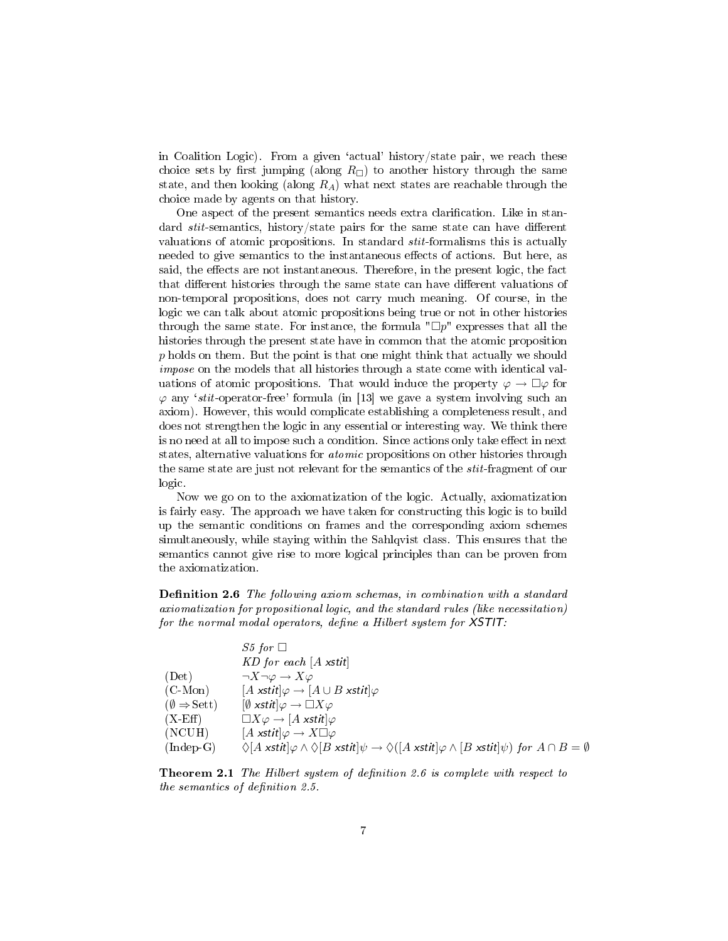in Coalition Logic). From a given 'actual' history/state pair, we reach these choice sets by first jumping (along  $R_{\Box}$ ) to another history through the same state, and then looking (along  $R_A$ ) what next states are reachable through the choice made by agents on that history.

One aspect of the present semantics needs extra clarification. Like in standard  $stit$ -semantics, history/state pairs for the same state can have different valuations of atomic propositions. In standard stit-formalisms this is actually needed to give semantics to the instantaneous effects of actions. But here, as said, the effects are not instantaneous. Therefore, in the present logic, the fact that different histories through the same state can have different valuations of non-temporal propositions, does not carry much meaning. Of course, in the logic we can talk about atomic propositions being true or not in other histories through the same state. For instance, the formula  $" \Box p"$  expresses that all the histories through the present state have in common that the atomic proposition  $p$  holds on them. But the point is that one might think that actually we should impose on the models that all histories through a state come with identical valuations of atomic propositions. That would induce the property  $\varphi \to \Box \varphi$  for  $\varphi$  any 'stit-operator-free' formula (in [13] we gave a system involving such an axiom). However, this would complicate establishing a completeness result, and does not strengthen the logic in any essential or interesting way. We think there is no need at all to impose such a condition. Since actions only take effect in next states, alternative valuations for atomic propositions on other histories through the same state are just not relevant for the semantics of the stit-fragment of our logic.

Now we go on to the axiomatization of the logic. Actually, axiomatization is fairly easy. The approach we have taken for constructing this logic is to build up the semantic conditions on frames and the corresponding axiom schemes simultaneously, while staying within the Sahlqvist class. This ensures that the semantics cannot give rise to more logical principles than can be proven from the axiomatization.

Definition 2.6 The following axiom schemas, in combination with a standard axiomatization for propositional logic, and the standard rules (like necessitation) for the normal modal operators, define a Hilbert system for XSTIT:

|                                     | S5 for $\Box$                                                                                                                                        |
|-------------------------------------|------------------------------------------------------------------------------------------------------------------------------------------------------|
|                                     | $KD$ for each $[A$ xstit                                                                                                                             |
| (Det)                               | $\neg X \neg \varphi \rightarrow X \varphi$                                                                                                          |
| $(C-Mon)$                           | $[A xstit] \varphi \rightarrow [A \cup B xstit] \varphi$                                                                                             |
| $(\emptyset \Rightarrow \text{Set}$ | $[\emptyset \; xstit] \varphi \rightarrow \Box X \varphi$                                                                                            |
| $(X-Eff)$                           | $\Box X \varphi \rightarrow [A \; x \mathsf{stit}] \varphi$                                                                                          |
| (NCUH)                              | $[A xstit] \varphi \rightarrow X \Box \varphi$                                                                                                       |
| $(Indep-G)$                         | $\Diamond$ [A xstit] $\varphi \land \Diamond$ [B xstit] $\psi \to \Diamond$ ([A xstit] $\varphi \land$ [B xstit] $\psi$ ) for $A \cap B = \emptyset$ |

**Theorem 2.1** The Hilbert system of definition 2.6 is complete with respect to the semantics of definition 2.5.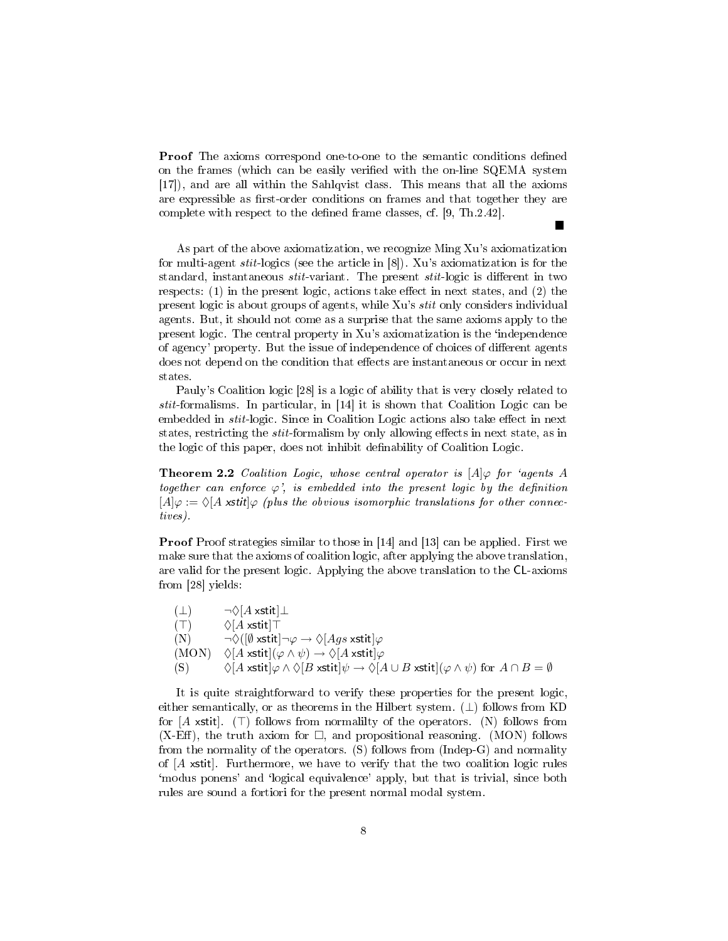**Proof** The axioms correspond one-to-one to the semantic conditions defined on the frames (which can be easily verified with the on-line SQEMA system [17]), and are all within the Sahlqvist class. This means that all the axioms are expressible as first-order conditions on frames and that together they are complete with respect to the defined frame classes, cf. [9, Th.2.42].

H

As part of the above axiomatization, we recognize Ming Xu's axiomatization for multi-agent stit-logics (see the article in [8]). Xu's axiomatization is for the standard, instantaneous  $stit$ -variant. The present  $stit$ -logic is different in two respects:  $(1)$  in the present logic, actions take effect in next states, and  $(2)$  the present logic is about groups of agents, while Xu's stit only considers individual agents. But, it should not come as a surprise that the same axioms apply to the present logic. The central property in Xu's axiomatization is the `independence of agency' property. But the issue of independence of choices of different agents does not depend on the condition that effects are instantaneous or occur in next states.

Pauly's Coalition logic [28] is a logic of ability that is very closely related to stit-formalisms. In particular, in [14] it is shown that Coalition Logic can be embedded in *stit-logic*. Since in Coalition Logic actions also take effect in next states, restricting the *stit*-formalism by only allowing effects in next state, as in the logic of this paper, does not inhibit definability of Coalition Logic.

**Theorem 2.2** Coalition Logic, whose central operator is  $|A|\varphi$  for 'agents A together can enforce  $\varphi'$ , is embedded into the present logic by the definition  $[A]\varphi := \Diamond[A]$  xstit $]\varphi$  (plus the obvious isomorphic translations for other connectives).

Proof Proof strategies similar to those in [14] and [13] can be applied. First we make sure that the axioms of coalition logic, after applying the above translation, are valid for the present logic. Applying the above translation to the CL-axioms from [28] yields:

 $( \perp )$   $\neg \Diamond [A \text{ xstit}] \perp$  $(\top)$   $\Diamond$  [A xstit] T (N)  $\neg \Diamond ([\emptyset \times \mathsf{stit}] \neg \varphi \rightarrow \Diamond [Ags \times \mathsf{stit}] \varphi$ (MON)  $\Diamond [A \mathsf{xstit}] (\varphi \land \psi) \rightarrow \Diamond [A \mathsf{xstit}] \varphi$ (S)  $\Diamond [A \text{ xstit}] \varphi \land \Diamond [B \text{ xstit}] \psi \rightarrow \Diamond [A \cup B \text{ xstit}] (\varphi \land \psi) \text{ for } A \cap B = \emptyset$ 

It is quite straightforward to verify these properties for the present logic, either semantically, or as theorems in the Hilbert system.  $(\perp)$  follows from KD for  $[A \text{ xstit}]$ . (T) follows from normalilty of the operators. (N) follows from  $(X-Eff)$ , the truth axiom for  $\Box$ , and propositional reasoning. (MON) follows from the normality of the operators. (S) follows from (Indep-G) and normality of [A xstit]. Furthermore, we have to verify that the two coalition logic rules `modus ponens' and `logical equivalence' apply, but that is trivial, since both rules are sound a fortiori for the present normal modal system.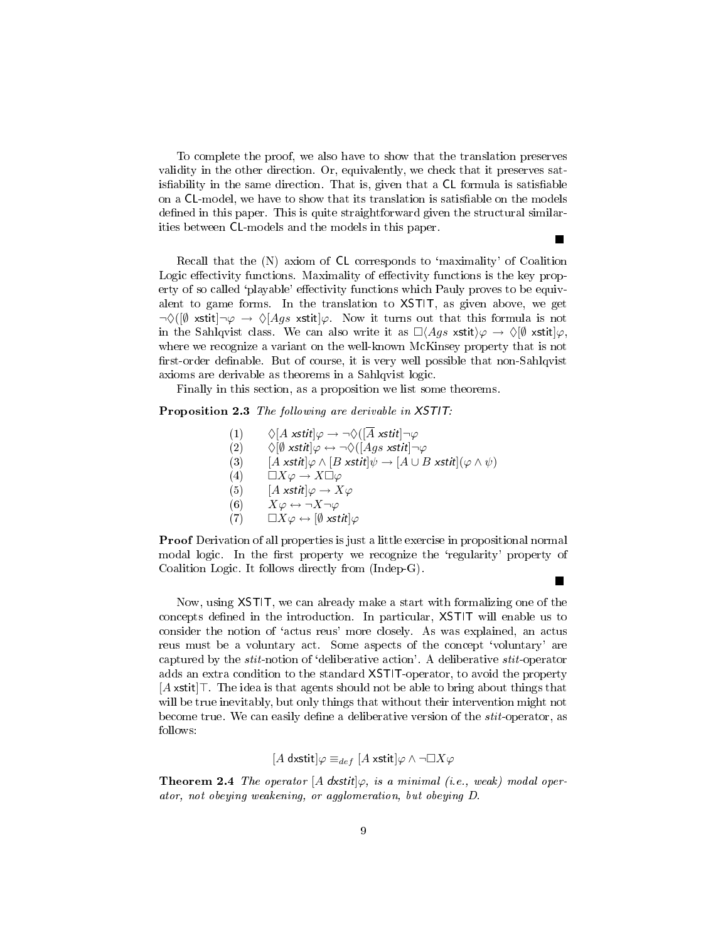To complete the proof, we also have to show that the translation preserves validity in the other direction. Or, equivalently, we check that it preserves satis fiability in the same direction. That is, given that a  $CL$  formula is satisfiable on a CL-model, we have to show that its translation is satisable on the models defined in this paper. This is quite straightforward given the structural similarities between CL-models and the models in this paper.

ш

П

Recall that the (N) axiom of CL corresponds to 'maximality' of Coalition Logic effectivity functions. Maximality of effectivity functions is the key property of so called 'playable' effectivity functions which Pauly proves to be equivalent to game forms. In the translation to XSTIT, as given above, we get  $\neg \Diamond (\emptyset \text{ xstit}] \neg \varphi \rightarrow \Diamond \text{[Ags xstit]} \varphi$ . Now it turns out that this formula is not in the Sahlqvist class. We can also write it as  $\square \langle Ags \times \mathsf{stit}\rangle \varphi \to \Diamond [\emptyset \times \mathsf{stit}] \varphi$ , where we recognize a variant on the well-known McKinsey property that is not first-order definable. But of course, it is very well possible that non-Sahlqvist axioms are derivable as theorems in a Sahlqvist logic.

Finally in this section, as a proposition we list some theorems.

#### Proposition 2.3 The following are derivable in XSTIT:

- (1)  $\Diamond [A \mathsf{xstit}] \varphi \rightarrow \neg \Diamond ([\overline{A} \mathsf{xstit}] \neg \varphi$
- (2)  $\Diamond[\emptyset \text{ xstit}] \varphi \leftrightarrow \neg \Diamond([Ags \text{ xstit}] \neg \varphi$
- (3)  $[A \text{ xstit}] \varphi \wedge [B \text{ xstit}] \psi \rightarrow [A \cup B \text{ xstit}] (\varphi \wedge \psi)$
- (4)  $\Box X \varphi \to X \Box \varphi$
- (5)  $[A \; x \cdot \hat{i}] \varphi \rightarrow X \varphi$
- (6)  $X\varphi \leftrightarrow \neg X\neg \varphi$
- (7)  $\Box X\varphi \leftrightarrow [\emptyset \text{ xstit}]\varphi$

Proof Derivation of all properties is just a little exercise in propositional normal modal logic. In the first property we recognize the 'regularity' property of Coalition Logic. It follows directly from (Indep-G).

Now, using XSTIT, we can already make a start with formalizing one of the concepts defined in the introduction. In particular, XSTIT will enable us to consider the notion of `actus reus' more closely. As was explained, an actus reus must be a voluntary act. Some aspects of the concept `voluntary' are captured by the stit-notion of `deliberative action'. A deliberative stit-operator adds an extra condition to the standard XSTIT-operator, to avoid the property  $[A \times \text{stit}]$ . The idea is that agents should not be able to bring about things that will be true inevitably, but only things that without their intervention might not become true. We can easily define a deliberative version of the *stit*-operator, as follows:

$$
[A \text{ dxtit}] \varphi \equiv_{def} [A \text{ xstit}] \varphi \wedge \neg \Box X \varphi
$$

**Theorem 2.4** The operator [A dxstit] $\varphi$ , is a minimal (i.e., weak) modal operator, not obeying weakening, or agglomeration, but obeying D.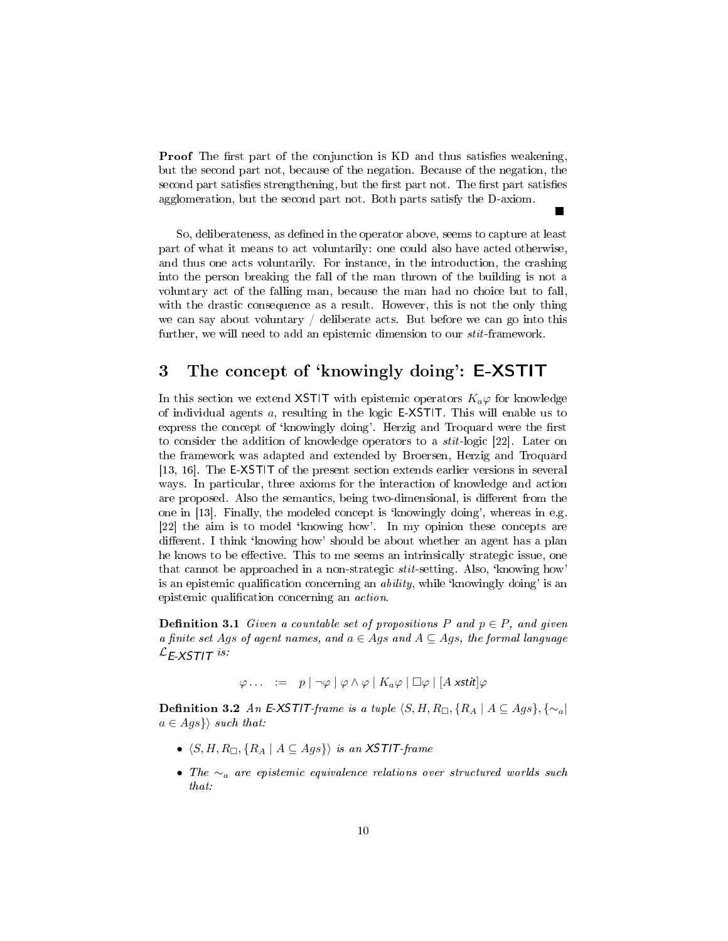**Proof** The first part of the conjunction is KD and thus satisfies weakening, but the second part not, because of the negation. Because of the negation, the second part satisfies strengthening, but the first part not. The first part satisfies agglomeration, but the second part not. Both parts satisfy the D-axiom.

So, deliberateness, as defined in the operator above, seems to capture at least part of what it means to act voluntarily: one could also have acted otherwise, and thus one acts voluntarily. For instance, in the introduction, the crashing into the person breaking the fall of the man thrown of the building is not a voluntary act of the falling man, because the man had no choice but to fall, with the drastic consequence as a result. However, this is not the only thing we can say about voluntary / deliberate acts. But before we can go into this further, we will need to add an epistemic dimension to our *stit*-framework.

#### 3 The concept of `knowingly doing': E-XSTIT

In this section we extend XSTIT with epistemic operators  $K_a\varphi$  for knowledge of individual agents  $a$ , resulting in the logic **E-XSTIT**. This will enable us to express the concept of 'knowingly doing'. Herzig and Troquard were the first to consider the addition of knowledge operators to a stit-logic [22]. Later on the framework was adapted and extended by Broersen, Herzig and Troquard [13, 16]. The E-XSTIT of the present section extends earlier versions in several ways. In particular, three axioms for the interaction of knowledge and action are proposed. Also the semantics, being two-dimensional, is different from the one in [13]. Finally, the modeled concept is `knowingly doing', whereas in e.g. [22] the aim is to model `knowing how'. In my opinion these concepts are different. I think 'knowing how' should be about whether an agent has a plan he knows to be effective. This to me seems an intrinsically strategic issue, one that cannot be approached in a non-strategic *stit*-setting. Also, 'knowing how' is an epistemic qualification concerning an *ability*, while 'knowingly doing' is an epistemic qualification concerning an *action*.

**Definition 3.1** Given a countable set of propositions P and  $p \in P$ , and given a finite set Ags of agent names, and  $a \in Ags$  and  $A \subseteq Ags$ , the formal language  $\mathcal{L}_{E-XSTIT}$  is:

 $\varphi \ldots := p \mid \neg \varphi \mid \varphi \wedge \varphi \mid K_a \varphi \mid \Box \varphi \mid [A \text{ xstit}] \varphi$ 

**Definition 3.2** An E-XSTIT-frame is a tuple  $\langle S, H, R_{\Box}, \{R_A | A \subseteq Ags\}, \{\sim_a |$  $a \in Ags$ } such that:

- $\langle S, H, R_{\Box}, \{R_A | A \subseteq Ags \} \rangle$  is an XSTIT-frame
- The  $\sim_a$  are epistemic equivalence relations over structured worlds such that: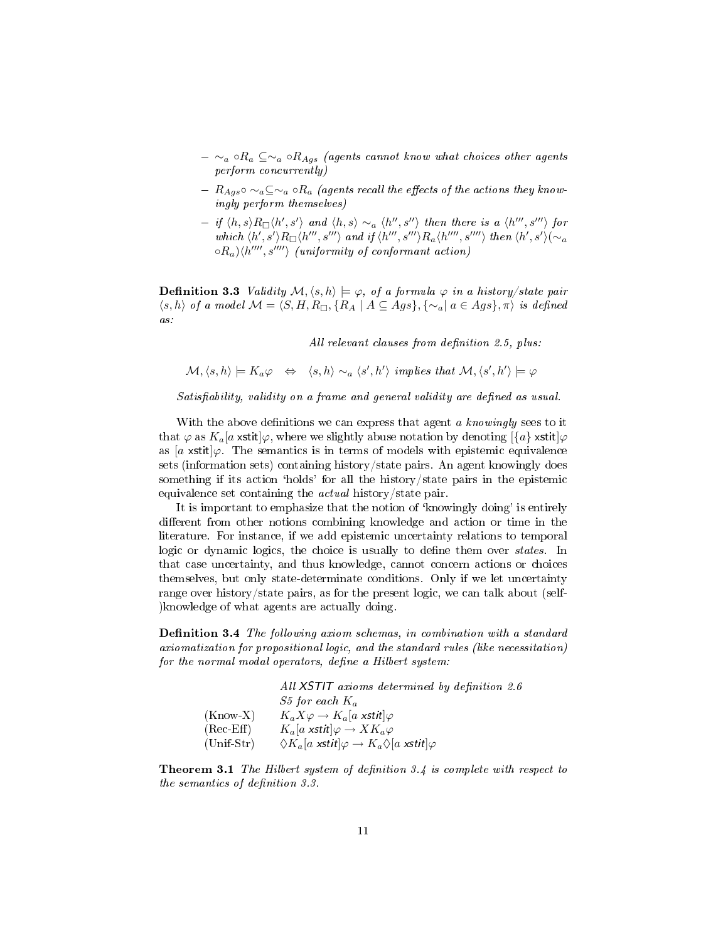- $-$  ∼<sub>a</sub> ∘R<sub>a</sub> ⊆∼<sub>a</sub> ∘R<sub>Ags</sub> (agents cannot know what choices other agents perform concurrently)
- $R_{Ags} \circ \sim_a \subseteq \sim_a \circ R_a$  (agents recall the effects of the actions they knowingly perform themselves)
- $\tilde{f} = if \langle h, s \rangle R_{\Box} \langle h', s' \rangle$  and  $\langle h, s \rangle \sim_a \langle h'', s'' \rangle$  then there is a  $\langle h''', s''' \rangle$  for which  $\langle h', s' \rangle R_{\Box} \langle h''', s''' \rangle$  and if  $\langle h''', s''' \rangle R_a \langle h''''', s'''' \rangle$  then  $\langle h', s' \rangle (\sim_a)$  $\circ R_a\rangle\langle h'''', s''''\rangle$  (uniformity of conformant action)

**Definition 3.3** Validity  $\mathcal{M}, \langle s, h \rangle \models \varphi$ , of a formula  $\varphi$  in a history/state pair  $\langle s, h \rangle$  of a model  $\mathcal{M} = \langle S, H, R_{\Box}, \{R_A | A \subseteq Ags\}, \{\sim_a | a \in Ags\}, \pi \rangle$  is defined as:

All relevant clauses from definition  $2.5$ , plus:

$$
\mathcal{M}, \langle s, h \rangle \models K_a \varphi \Leftrightarrow \langle s, h \rangle \sim_a \langle s', h' \rangle \implies that \mathcal{M}, \langle s', h' \rangle \models \varphi
$$

Satisfiability, validity on a frame and general validity are defined as usual.

With the above definitions we can express that agent a knowingly sees to it that  $\varphi$  as  $K_a[a \text{ xstit}] \varphi$ , where we slightly abuse notation by denoting  $\{a\}$  xstit] $\varphi$ as  $[a \text{ xstit}] \varphi$ . The semantics is in terms of models with epistemic equivalence sets (information sets) containing history/state pairs. An agent knowingly does something if its action 'holds' for all the history/state pairs in the epistemic equivalence set containing the actual history/state pair.

It is important to emphasize that the notion of 'knowingly doing' is entirely different from other notions combining knowledge and action or time in the literature. For instance, if we add epistemic uncertainty relations to temporal logic or dynamic logics, the choice is usually to define them over *states*. In that case uncertainty, and thus knowledge, cannot concern actions or choices themselves, but only state-determinate conditions. Only if we let uncertainty range over history/state pairs, as for the present logic, we can talk about (self- )knowledge of what agents are actually doing.

Definition 3.4 The following axiom schemas, in combination with a standard axiomatization for propositional logic, and the standard rules (like necessitation) for the normal modal operators, define a Hilbert system:

|              | All XSTIT axioms determined by definition 2.6                                    |
|--------------|----------------------------------------------------------------------------------|
|              | S5 for each $K_a$                                                                |
| $(Know-X)$   | $K_a X \varphi \to K_a [a \; x \mathsf{stit}] \varphi$                           |
| $(Rec-Eff)$  | $K_a[a \; xstit] \varphi \to X K_a \varphi$                                      |
| $(Unif-Str)$ | $\Diamond K_a[a \; xstit] \varphi \rightarrow K_a \Diamond [a \; xstit] \varphi$ |

**Theorem 3.1** The Hilbert system of definition  $3.4$  is complete with respect to the semantics of definition  $3.3$ .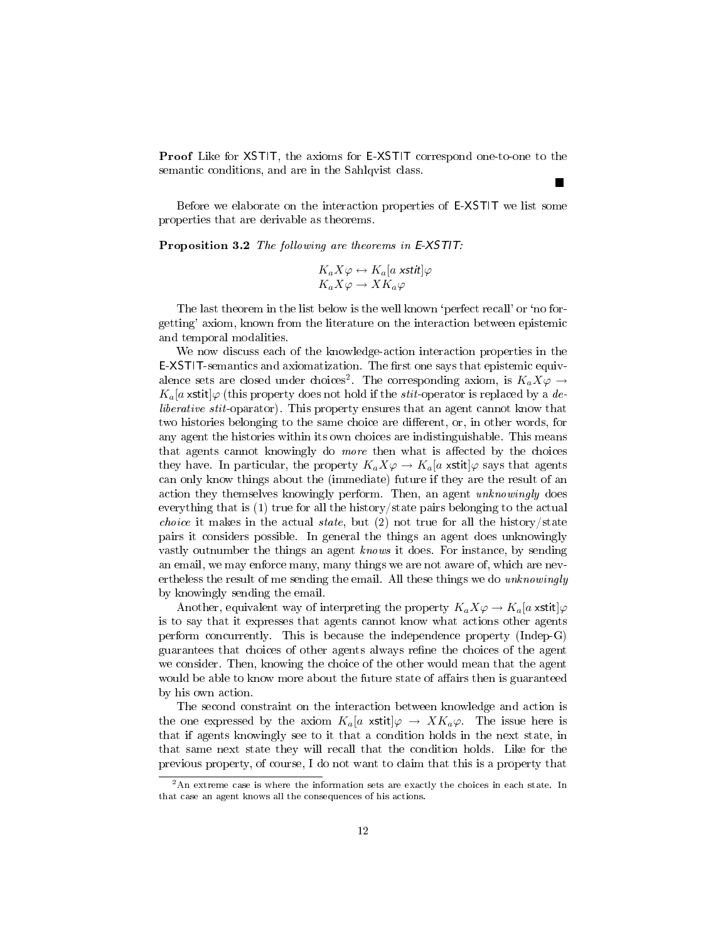Proof Like for XSTIT, the axioms for E-XSTIT correspond one-to-one to the semantic conditions, and are in the Sahlqvist class.

**The Second** 

Before we elaborate on the interaction properties of E-XSTIT we list some properties that are derivable as theorems.

Proposition 3.2 The following are theorems in E-XSTIT:

$$
K_a X \varphi \leftrightarrow K_a [a \; x \mathsf{stit}] \varphi
$$
  

$$
K_a X \varphi \to X K_a \varphi
$$

The last theorem in the list below is the well known 'perfect recall' or 'no forgetting' axiom, known from the literature on the interaction between epistemic and temporal modalities.

We now discuss each of the knowledge-action interaction properties in the E-XSTIT-semantics and axiomatization. The first one says that epistemic equivalence sets are closed under choices<sup>2</sup>. The corresponding axiom, is  $K_a X_\varphi \to$  $K_a[a \text{ xstit}] \varphi$  (this property does not hold if the *stit*-operator is replaced by a deliberative stit-oparator). This property ensures that an agent cannot know that two histories belonging to the same choice are different, or, in other words, for any agent the histories within its own choices are indistinguishable. This means that agents cannot knowingly do *more* then what is affected by the choices they have. In particular, the property  $K_a X \varphi \to K_a [a \text{ xstit}] \varphi$  says that agents can only know things about the (immediate) future if they are the result of an action they themselves knowingly perform. Then, an agent unknowingly does everything that is (1) true for all the history/state pairs belonging to the actual *choice* it makes in the actual *state*, but  $(2)$  not true for all the history/state pairs it considers possible. In general the things an agent does unknowingly vastly outnumber the things an agent knows it does. For instance, by sending an email, we may enforce many, many things we are not aware of, which are nevertheless the result of me sending the email. All these things we do *unknowingly* by knowingly sending the email.

Another, equivalent way of interpreting the property  $K_a X \varphi \to K_a [a \text{ xstit}] \varphi$ is to say that it expresses that agents cannot know what actions other agents perform concurrently. This is because the independence property (Indep-G) guarantees that choices of other agents always refine the choices of the agent we consider. Then, knowing the choice of the other would mean that the agent would be able to know more about the future state of affairs then is guaranteed by his own action.

The second constraint on the interaction between knowledge and action is the one expressed by the axiom  $K_a[a \text{ xstit}] \varphi \rightarrow X K_a \varphi$ . The issue here is that if agents knowingly see to it that a condition holds in the next state, in that same next state they will recall that the condition holds. Like for the previous property, of course, I do not want to claim that this is a property that

 $2$ An extreme case is where the information sets are exactly the choices in each state. In that case an agent knows all the consequences of his actions.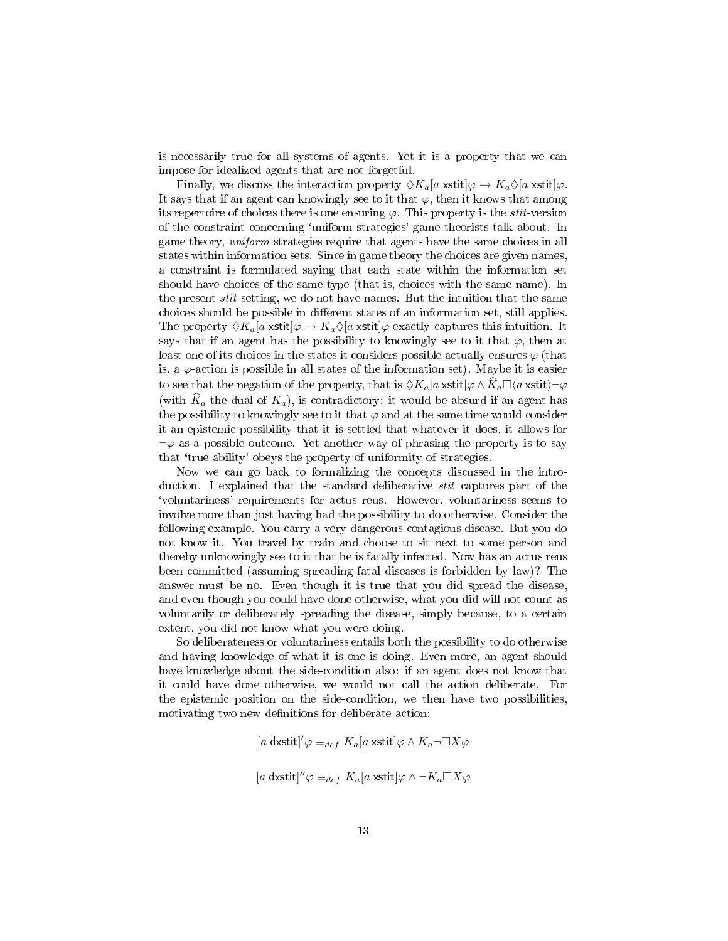is necessarily true for all systems of agents. Yet it is a property that we can impose for idealized agents that are not forgetful.

Finally, we discuss the interaction property  $\langle K_a[a \times \text{stit}] \varphi \to K_a \langle [a \times \text{stit}] \varphi$ . It says that if an agent can knowingly see to it that  $\varphi$ , then it knows that among its repertoire of choices there is one ensuring  $\varphi$ . This property is the *stit*-version of the constraint concerning `uniform strategies' game theorists talk about. In game theory, uniform strategies require that agents have the same choices in all states within information sets. Since in game theory the choices are given names, a constraint is formulated saying that each state within the information set should have choices of the same type (that is, choices with the same name). In the present stit-setting, we do not have names. But the intuition that the same choices should be possible in different states of an information set, still applies. The property  $\langle K_a[a \text{ xstit}] \varphi \to K_a \varphi[a \text{ xstit}] \varphi$  exactly captures this intuition. It says that if an agent has the possibility to knowingly see to it that  $\varphi$ , then at least one of its choices in the states it considers possible actually ensures  $\varphi$  (that is, a  $\varphi$ -action is possible in all states of the information set). Maybe it is easier to see that the negation of the property, that is  $\langle K_a[a \times \text{stit}] \varphi \wedge \widehat{K}_a \square \langle a \times \text{stit} \rangle \neg \varphi$ (with  $\widehat{K}_a$  the dual of  $K_a$ ), is contradictory: it would be absurd if an agent has the possibility to knowingly see to it that  $\varphi$  and at the same time would consider it an epistemic possibility that it is settled that whatever it does, it allows for  $\neg \varphi$  as a possible outcome. Yet another way of phrasing the property is to say that 'true ability' obeys the property of uniformity of strategies.

Now we can go back to formalizing the concepts discussed in the introduction. I explained that the standard deliberative stit captures part of the `voluntariness' requirements for actus reus. However, voluntariness seems to involve more than just having had the possibility to do otherwise. Consider the following example. You carry a very dangerous contagious disease. But you do not know it. You travel by train and choose to sit next to some person and thereby unknowingly see to it that he is fatally infected. Now has an actus reus been committed (assuming spreading fatal diseases is forbidden by law)? The answer must be no. Even though it is true that you did spread the disease, and even though you could have done otherwise, what you did will not count as voluntarily or deliberately spreading the disease, simply because, to a certain extent, you did not know what you were doing.

So deliberateness or voluntariness entails both the possibility to do otherwise and having knowledge of what it is one is doing. Even more, an agent should have knowledge about the side-condition also: if an agent does not know that it could have done otherwise, we would not call the action deliberate. For the epistemic position on the side-condition, we then have two possibilities, motivating two new definitions for deliberate action:

$$
[a \text{ dxtit}]'\varphi \equiv_{def} K_a[a \text{ xstit}] \varphi \wedge K_a \neg \Box X \varphi
$$
  

$$
[a \text{ dxtit}]'' \varphi \equiv_{def} K_a[a \text{ xstit}] \varphi \wedge \neg K_a \Box X \varphi
$$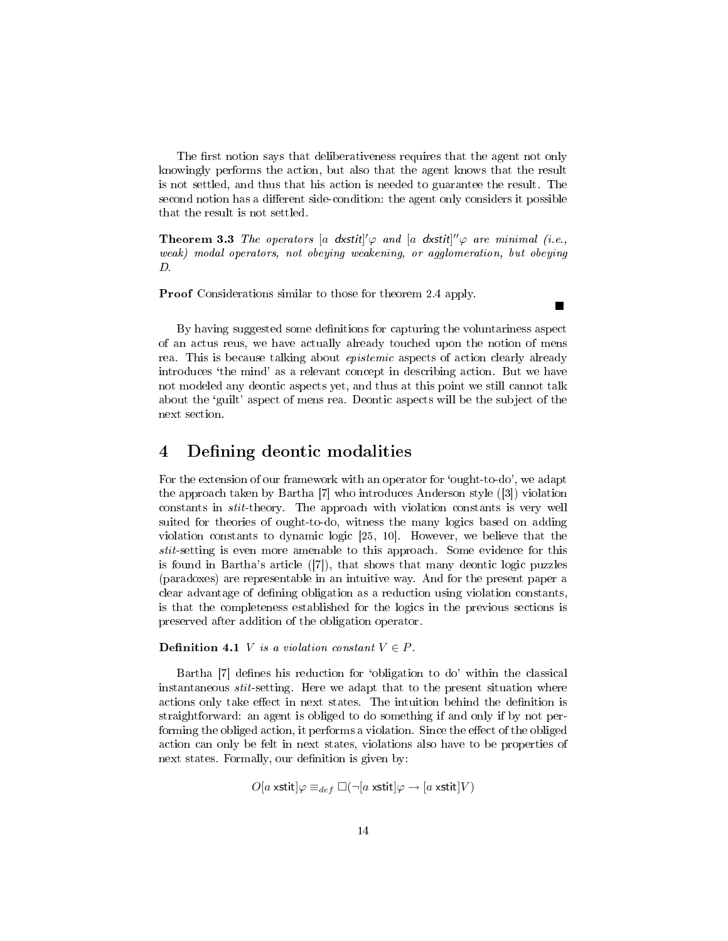The first notion says that deliberativeness requires that the agent not only knowingly performs the action, but also that the agent knows that the result is not settled, and thus that his action is needed to guarantee the result. The second notion has a different side-condition: the agent only considers it possible that the result is not settled.

**Theorem 3.3** The operators [a dxstit]' $\varphi$  and [a dxstit]" $\varphi$  are minimal (i.e., weak) modal operators, not obeying weakening, or agglomeration, but obeying D.

г

Proof Considerations similar to those for theorem 2.4 apply.

By having suggested some denitions for capturing the voluntariness aspect of an actus reus, we have actually already touched upon the notion of mens rea. This is because talking about epistemic aspects of action clearly already introduces 'the mind' as a relevant concept in describing action. But we have not modeled any deontic aspects yet, and thus at this point we still cannot talk about the `guilt' aspect of mens rea. Deontic aspects will be the subject of the next section.

## 4 Defining deontic modalities

For the extension of our framework with an operator for 'ought-to-do', we adapt the approach taken by Bartha [7] who introduces Anderson style ([3]) violation constants in stit-theory. The approach with violation constants is very well suited for theories of ought-to-do, witness the many logics based on adding violation constants to dynamic logic [25, 10]. However, we believe that the stit-setting is even more amenable to this approach. Some evidence for this is found in Bartha's article ([7]), that shows that many deontic logic puzzles (paradoxes) are representable in an intuitive way. And for the present paper a clear advantage of defining obligation as a reduction using violation constants, is that the completeness established for the logics in the previous sections is preserved after addition of the obligation operator.

Definition 4.1 *V* is a violation constant  $V \in P$ .

Bartha  $[7]$  defines his reduction for 'obligation to do' within the classical instantaneous stit-setting. Here we adapt that to the present situation where actions only take effect in next states. The intuition behind the definition is straightforward: an agent is obliged to do something if and only if by not performing the obliged action, it performs a violation. Since the effect of the obliged action can only be felt in next states, violations also have to be properties of next states. Formally, our definition is given by:

$$
O[a \mathsf{xstit}]\varphi \equiv_{def} \Box(\neg[a \mathsf{xstit}]\varphi \rightarrow [a \mathsf{xstit}]V)
$$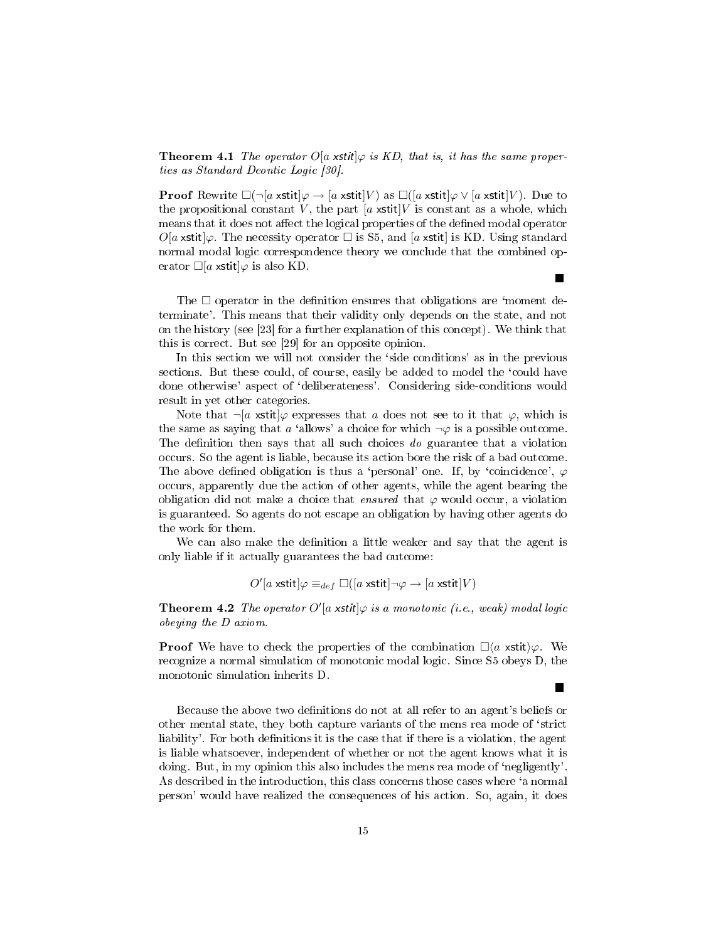**Theorem 4.1** The operator  $O[a \times \text{stit}]\varphi$  is KD, that is, it has the same properties as Standard Deontic Logic [30].

**Proof** Rewrite  $\square(\neg[a \text{ xstit}]\varphi \to [a \text{ xstit}]V)$  as  $\square([a \text{ xstit}]\varphi \lor [a \text{ xstit}]V)$ . Due to the propositional constant V, the part  $[a \text{ xstit}]V$  is constant as a whole, which means that it does not affect the logical properties of the defined modal operator  $O[a \text{ xstit}] \varphi$ . The necessity operator  $\Box$  is S5, and [a xstit] is KD. Using standard normal modal logic correspondence theory we conclude that the combined operator  $\Box[a \times \text{stit}]\varphi$  is also KD.

The  $\square$  operator in the definition ensures that obligations are 'moment determinate'. This means that their validity only depends on the state, and not on the history (see [23] for a further explanation of this concept). We think that this is correct. But see [29] for an opposite opinion.

 $\blacksquare$ 

 $\blacksquare$ 

In this section we will not consider the 'side conditions' as in the previous sections. But these could, of course, easily be added to model the 'could have done otherwise' aspect of `deliberateness'. Considering side-conditions would result in yet other categories.

Note that  $\neg[a \text{ xstit}] \varphi$  expresses that a does not see to it that  $\varphi$ , which is the same as saying that a 'allows' a choice for which  $\neg \varphi$  is a possible outcome. The definition then says that all such choices  $do$  guarantee that a violation occurs. So the agent is liable, because its action bore the risk of a bad outcome. The above defined obligation is thus a 'personal' one. If, by 'coincidence',  $\varphi$ occurs, apparently due the action of other agents, while the agent bearing the obligation did not make a choice that ensured that  $\varphi$  would occur, a violation is guaranteed. So agents do not escape an obligation by having other agents do the work for them.

We can also make the definition a little weaker and say that the agent is only liable if it actually guarantees the bad outcome:

 $O'[a \times \text{stit}] \varphi \equiv_{def} \Box([a \times \text{stit}] \neg \varphi \rightarrow [a \times \text{stit}] V)$ 

**Theorem 4.2** The operator O'[a xstit] $\varphi$  is a monotonic (i.e., weak) modal logic obeying the D axiom.

**Proof** We have to check the properties of the combination  $\Box \langle a \rangle \times \mathbf{R}$ . We recognize a normal simulation of monotonic modal logic. Since S5 obeys D, the monotonic simulation inherits D.

Because the above two denitions do not at all refer to an agent's beliefs or other mental state, they both capture variants of the mens rea mode of `strict liability'. For both definitions it is the case that if there is a violation, the agent is liable whatsoever, independent of whether or not the agent knows what it is doing. But, in my opinion this also includes the mens rea mode of `negligently'. As described in the introduction, this class concerns those cases where `a normal person' would have realized the consequences of his action. So, again, it does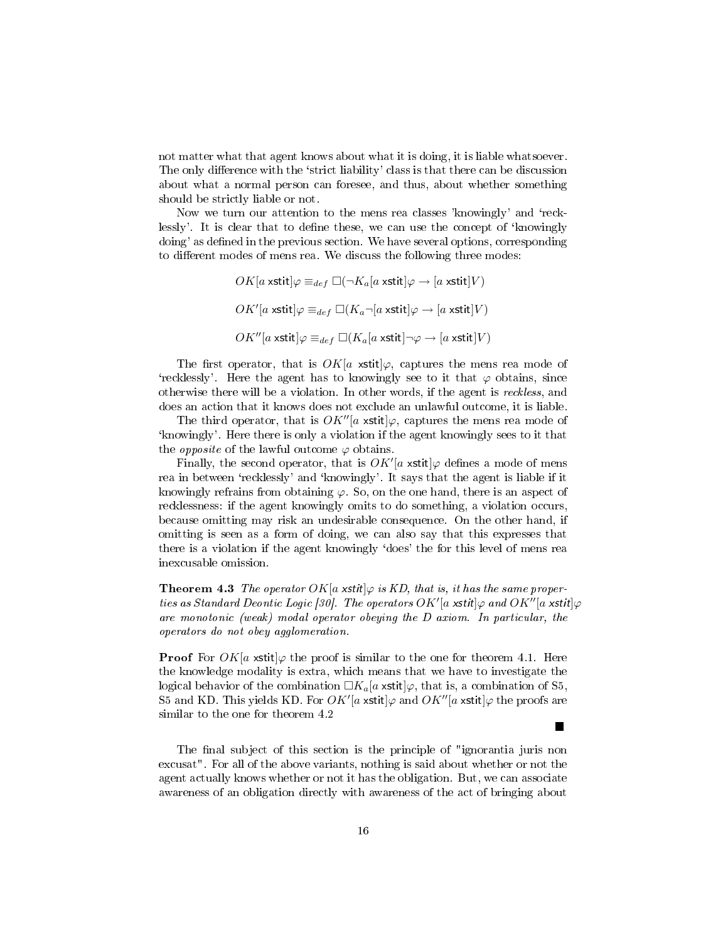not matter what that agent knows about what it is doing, it is liable whatsoever. The only difference with the 'strict liability' class is that there can be discussion about what a normal person can foresee, and thus, about whether something should be strictly liable or not.

Now we turn our attention to the mens rea classes 'knowingly' and `recklessly'. It is clear that to define these, we can use the concept of 'knowingly doing' as defined in the previous section. We have several options, corresponding to different modes of mens rea. We discuss the following three modes:

$$
OK[a \text{ xstit}]\varphi \equiv_{def} \Box(\neg K_a[a \text{ xstit}]\varphi \rightarrow [a \text{ xstit}]V)
$$
  

$$
OK'[a \text{ xstit}]\varphi \equiv_{def} \Box(K_a \neg [a \text{ xstit}]\varphi \rightarrow [a \text{ xstit}]V)
$$
  

$$
OK''[a \text{ xstit}]\varphi \equiv_{def} \Box(K_a[a \text{ xstit}]\neg \varphi \rightarrow [a \text{ xstit}]V)
$$

The first operator, that is  $OK[a \text{ xstit}] \varphi$ , captures the mens rea mode of 'recklessly'. Here the agent has to knowingly see to it that  $\varphi$  obtains, since otherwise there will be a violation. In other words, if the agent is reckless, and does an action that it knows does not exclude an unlawful outcome, it is liable.

The third operator, that is  $OK''[a \text{ xstit}] \varphi$ , captures the mens rea mode of `knowingly'. Here there is only a violation if the agent knowingly sees to it that the *opposite* of the lawful outcome  $\varphi$  obtains.

Finally, the second operator, that is  $OK'|a \times \text{stit}|\varphi$  defines a mode of mens rea in between 'recklessly' and 'knowingly'. It says that the agent is liable if it knowingly refrains from obtaining  $\varphi$ . So, on the one hand, there is an aspect of recklessness: if the agent knowingly omits to do something, a violation occurs, because omitting may risk an undesirable consequence. On the other hand, if omitting is seen as a form of doing, we can also say that this expresses that there is a violation if the agent knowingly 'does' the for this level of mens rea inexcusable omission.

**Theorem 4.3** The operator  $OK[a \text{ xstit}] \varphi$  is KD, that is, it has the same properties as Standard Deontic Logic [30]. The operators  $OK' [a \times \text{stit}] \varphi$  and  $OK'' [a \times \text{stit}] \varphi$ are monotonic (weak) modal operator obeying the D axiom. In particular, the operators do not obey agglomeration.

**Proof** For  $OK[a \text{ xstit}] \varphi$  the proof is similar to the one for theorem 4.1. Here the knowledge modality is extra, which means that we have to investigate the logical behavior of the combination  $\Box K_a[a \times \text{stit}] \varphi$ , that is, a combination of S5, S5 and KD. This yields KD. For  $OK'[a \times \text{stit}] \varphi$  and  $OK''[a \times \text{stit}] \varphi$  the proofs are similar to the one for theorem 4.2

 $\blacksquare$ 

The final subject of this section is the principle of "ignorantia juris non excusat". For all of the above variants, nothing is said about whether or not the agent actually knows whether or not it has the obligation. But, we can associate awareness of an obligation directly with awareness of the act of bringing about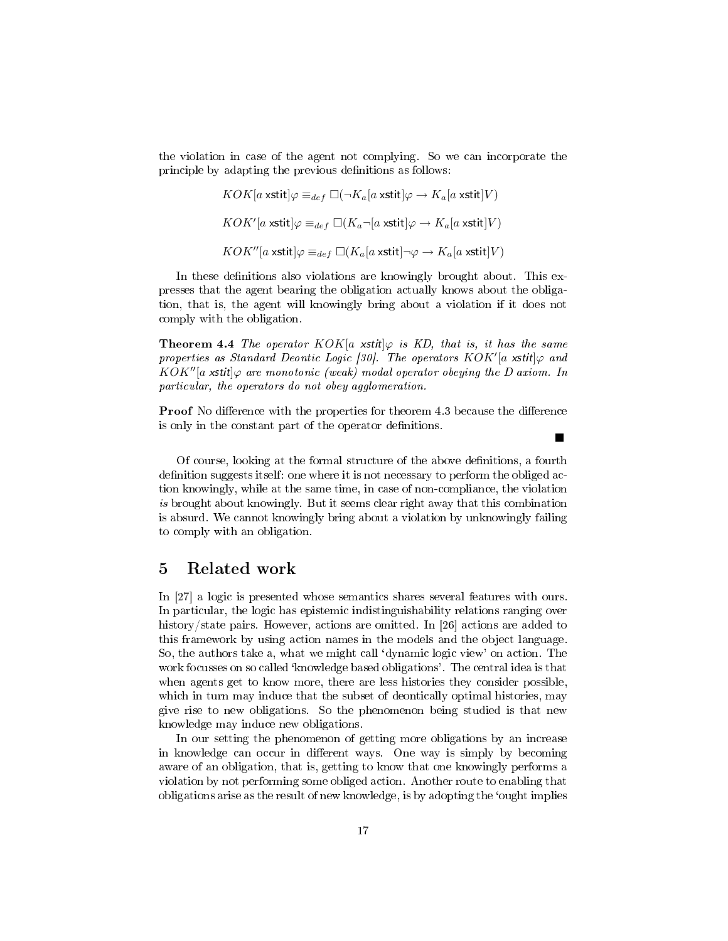the violation in case of the agent not complying. So we can incorporate the principle by adapting the previous denitions as follows:

$$
KOK[a \text{ xstit}]\varphi \equiv_{def} \Box(\neg K_a[a \text{ xstit}]\varphi \to K_a[a \text{ xstit}]V)
$$

$$
KOK'[a \text{ xstit}]\varphi \equiv_{def} \Box(K_a \neg [a \text{ xstit}]\varphi \to K_a[a \text{ xstit}]V)
$$

$$
KOK''[a \text{ xstit}]\varphi \equiv_{def} \Box(K_a[a \text{ xstit}]\neg \varphi \to K_a[a \text{ xstit}]V)
$$

In these definitions also violations are knowingly brought about. This expresses that the agent bearing the obligation actually knows about the obligation, that is, the agent will knowingly bring about a violation if it does not comply with the obligation.

**Theorem 4.4** The operator  $KOK[a \text{ xstit}] \varphi$  is  $KD$ , that is, it has the same properties as Standard Deontic Logic [30]. The operators  $KOK'$  a xstit  $\varphi$  and  $KOK''$ [a xstit] $\varphi$  are monotonic (weak) modal operator obeying the D axiom. In particular, the operators do not obey agglomeration.

**Proof** No difference with the properties for theorem 4.3 because the difference is only in the constant part of the operator definitions.

 $\blacksquare$ 

Of course, looking at the formal structure of the above denitions, a fourth definition suggests itself: one where it is not necessary to perform the obliged action knowingly, while at the same time, in case of non-compliance, the violation is brought about knowingly. But it seems clear right away that this combination is absurd. We cannot knowingly bring about a violation by unknowingly failing to comply with an obligation.

#### 5 Related work

In [27] a logic is presented whose semantics shares several features with ours. In particular, the logic has epistemic indistinguishability relations ranging over history/state pairs. However, actions are omitted. In [26] actions are added to this framework by using action names in the models and the object language. So, the authors take a, what we might call `dynamic logic view' on action. The work focusses on so called 'knowledge based obligations'. The central idea is that when agents get to know more, there are less histories they consider possible, which in turn may induce that the subset of deontically optimal histories, may give rise to new obligations. So the phenomenon being studied is that new knowledge may induce new obligations.

In our setting the phenomenon of getting more obligations by an increase in knowledge can occur in different ways. One way is simply by becoming aware of an obligation, that is, getting to know that one knowingly performs a violation by not performing some obliged action. Another route to enabling that obligations arise as the result of new knowledge, is by adopting the `ought implies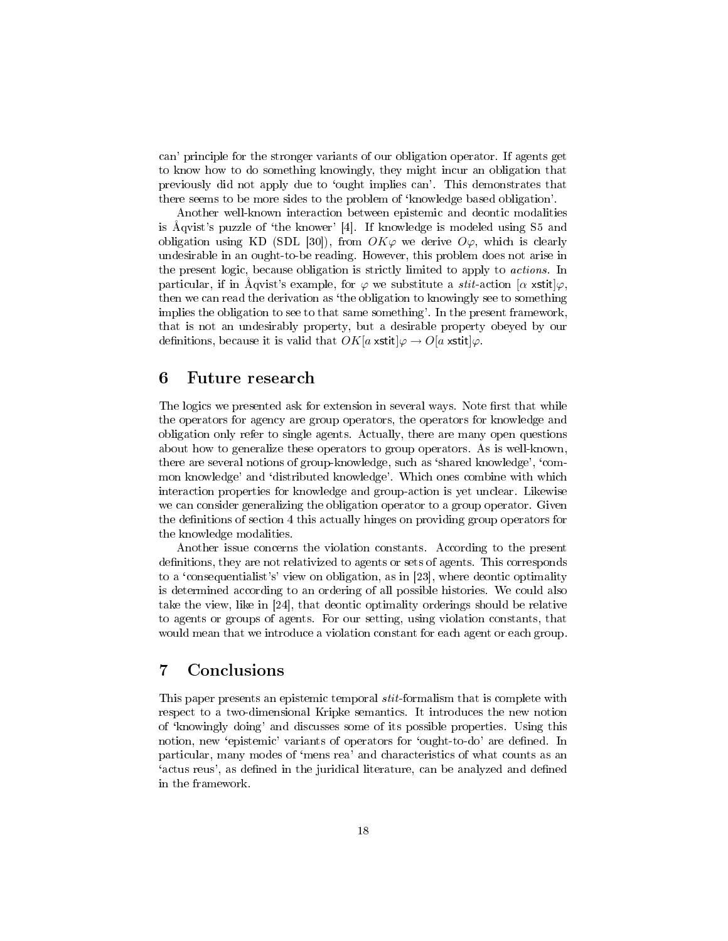can' principle for the stronger variants of our obligation operator. If agents get to know how to do something knowingly, they might incur an obligation that previously did not apply due to `ought implies can'. This demonstrates that there seems to be more sides to the problem of `knowledge based obligation'.

Another well-known interaction between epistemic and deontic modalities is Åqvist's puzzle of `the knower' [4]. If knowledge is modeled using S5 and obligation using KD (SDL [30]), from  $OK\varphi$  we derive  $O\varphi$ , which is clearly undesirable in an ought-to-be reading. However, this problem does not arise in the present logic, because obligation is strictly limited to apply to actions. In particular, if in Åqvist's example, for  $\varphi$  we substitute a *stit*-action  $\alpha$  xstit $\varphi$ , then we can read the derivation as `the obligation to knowingly see to something implies the obligation to see to that same something'. In the present framework, that is not an undesirably property, but a desirable property obeyed by our definitions, because it is valid that  $OK[a \text{ xstit}] \varphi \rightarrow O[a \text{ xstit}] \varphi$ .

#### 6 Future research

The logics we presented ask for extension in several ways. Note first that while the operators for agency are group operators, the operators for knowledge and obligation only refer to single agents. Actually, there are many open questions about how to generalize these operators to group operators. As is well-known, there are several notions of group-knowledge, such as `shared knowledge', `common knowledge' and 'distributed knowledge'. Which ones combine with which interaction properties for knowledge and group-action is yet unclear. Likewise we can consider generalizing the obligation operator to a group operator. Given the definitions of section 4 this actually hinges on providing group operators for the knowledge modalities.

Another issue concerns the violation constants. According to the present definitions, they are not relativized to agents or sets of agents. This corresponds to a `consequentialist's' view on obligation, as in [23], where deontic optimality is determined according to an ordering of all possible histories. We could also take the view, like in [24], that deontic optimality orderings should be relative to agents or groups of agents. For our setting, using violation constants, that would mean that we introduce a violation constant for each agent or each group.

### 7 Conclusions

This paper presents an epistemic temporal stit-formalism that is complete with respect to a two-dimensional Kripke semantics. It introduces the new notion of `knowingly doing' and discusses some of its possible properties. Using this notion, new 'epistemic' variants of operators for 'ought-to-do' are defined. In particular, many modes of `mens rea' and characteristics of what counts as an 'actus reus', as defined in the juridical literature, can be analyzed and defined in the framework.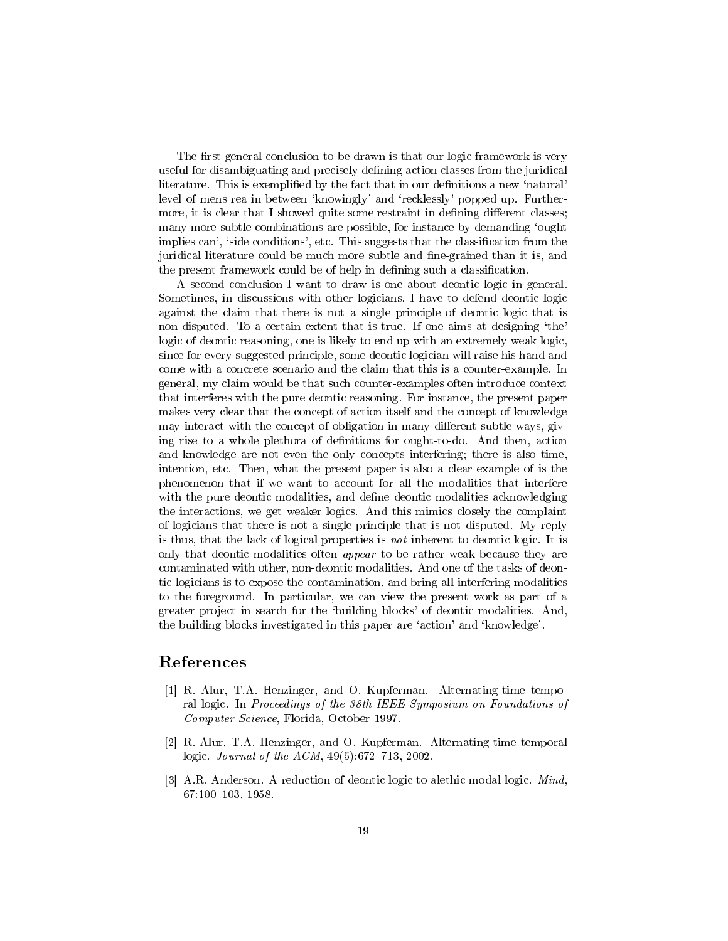The first general conclusion to be drawn is that our logic framework is very useful for disambiguating and precisely defining action classes from the juridical literature. This is exemplified by the fact that in our definitions a new 'natural' level of mens rea in between 'knowingly' and 'recklessly' popped up. Furthermore, it is clear that I showed quite some restraint in defining different classes; many more subtle combinations are possible, for instance by demanding 'ought implies can', 'side conditions', etc. This suggests that the classification from the juridical literature could be much more subtle and fine-grained than it is, and the present framework could be of help in defining such a classification.

A second conclusion I want to draw is one about deontic logic in general. Sometimes, in discussions with other logicians, I have to defend deontic logic against the claim that there is not a single principle of deontic logic that is non-disputed. To a certain extent that is true. If one aims at designing `the' logic of deontic reasoning, one is likely to end up with an extremely weak logic, since for every suggested principle, some deontic logician will raise his hand and come with a concrete scenario and the claim that this is a counter-example. In general, my claim would be that such counter-examples often introduce context that interferes with the pure deontic reasoning. For instance, the present paper makes very clear that the concept of action itself and the concept of knowledge may interact with the concept of obligation in many different subtle ways, giving rise to a whole plethora of definitions for ought-to-do. And then, action and knowledge are not even the only concepts interfering; there is also time, intention, etc. Then, what the present paper is also a clear example of is the phenomenon that if we want to account for all the modalities that interfere with the pure deontic modalities, and define deontic modalities acknowledging the interactions, we get weaker logics. And this mimics closely the complaint of logicians that there is not a single principle that is not disputed. My reply is thus, that the lack of logical properties is not inherent to deontic logic. It is only that deontic modalities often appear to be rather weak because they are contaminated with other, non-deontic modalities. And one of the tasks of deontic logicians is to expose the contamination, and bring all interfering modalities to the foreground. In particular, we can view the present work as part of a greater project in search for the `building blocks' of deontic modalities. And, the building blocks investigated in this paper are `action' and `knowledge'.

#### References

- [1] R. Alur, T.A. Henzinger, and O. Kupferman. Alternating-time temporal logic. In Proceedings of the 38th IEEE Symposium on Foundations of Computer Science, Florida, October 1997.
- [2] R. Alur, T.A. Henzinger, and O. Kupferman. Alternating-time temporal logic. Journal of the  $ACM$ ,  $49(5):672-713$ , 2002.
- [3] A.R. Anderson. A reduction of deontic logic to alethic modal logic. *Mind*, 67:100-103, 1958.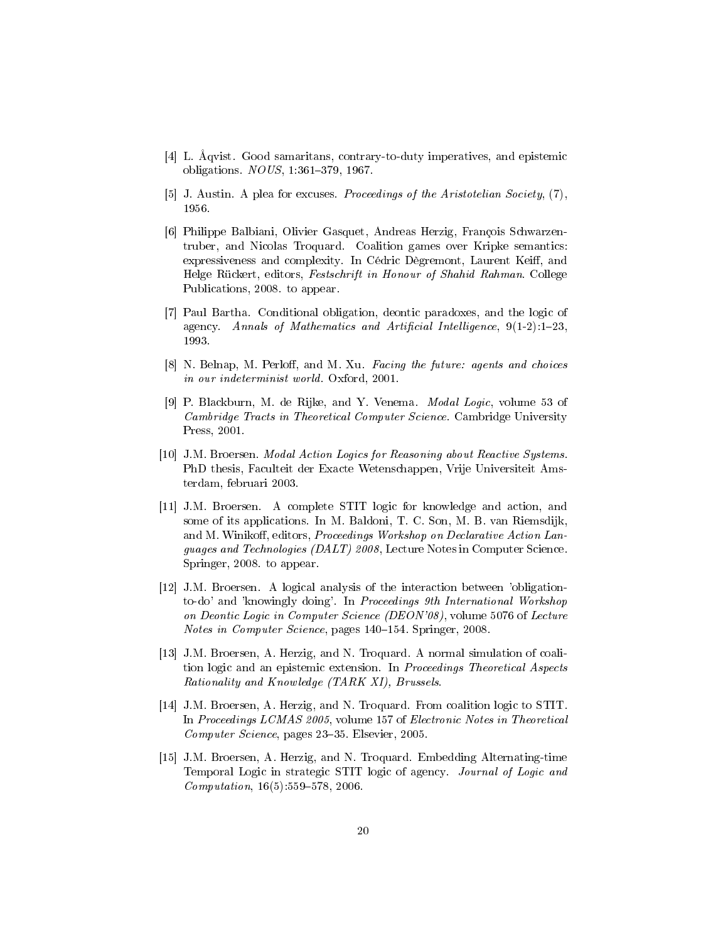- [4] L. Åqvist. Good samaritans, contrary-to-duty imperatives, and epistemic obligations. *NOUS*, 1:361-379, 1967.
- [5] J. Austin. A plea for excuses. Proceedings of the Aristotelian Society, (7), 1956.
- [6] Philippe Balbiani, Olivier Gasquet, Andreas Herzig, François Schwarzentruber, and Nicolas Troquard. Coalition games over Kripke semantics: expressiveness and complexity. In Cédric Dègremont, Laurent Keiff, and Helge Rückert, editors, Festschrift in Honour of Shahid Rahman. College Publications, 2008. to appear.
- [7] Paul Bartha. Conditional obligation, deontic paradoxes, and the logic of agency. Annals of Mathematics and Artificial Intelligence,  $9(1-2):1-23$ , 1993.
- [8] N. Belnap, M. Perloff, and M. Xu. Facing the future: agents and choices in our indeterminist world. Oxford, 2001.
- [9] P. Blackburn, M. de Rijke, and Y. Venema. Modal Logic, volume 53 of Cambridge Tracts in Theoretical Computer Science. Cambridge University Press, 2001.
- [10] J.M. Broersen. Modal Action Logics for Reasoning about Reactive Systems. PhD thesis, Faculteit der Exacte Wetenschappen, Vrije Universiteit Amsterdam, februari 2003.
- [11] J.M. Broersen. A complete STIT logic for knowledge and action, and some of its applications. In M. Baldoni, T. C. Son, M. B. van Riemsdijk, and M. Winikoff, editors, Proceedings Workshop on Declarative Action Languages and Technologies (DALT) 2008, Lecture Notes in Computer Science. Springer, 2008. to appear.
- [12] J.M. Broersen. A logical analysis of the interaction between 'obligationto-do' and 'knowingly doing'. In Proceedings 9th International Workshop on Deontic Logic in Computer Science (DEON'08), volume 5076 of Lecture Notes in Computer Science, pages 140–154. Springer, 2008.
- [13] J.M. Broersen, A. Herzig, and N. Troquard. A normal simulation of coalition logic and an epistemic extension. In Proceedings Theoretical Aspects Rationality and Knowledge (TARK XI), Brussels.
- [14] J.M. Broersen, A. Herzig, and N. Troquard. From coalition logic to STIT. In Proceedings LCMAS 2005, volume 157 of Electronic Notes in Theoretical Computer Science, pages 23–35. Elsevier, 2005.
- [15] J.M. Broersen, A. Herzig, and N. Troquard. Embedding Alternating-time Temporal Logic in strategic STIT logic of agency. Journal of Logic and  $Computation, 16(5):559-578, 2006.$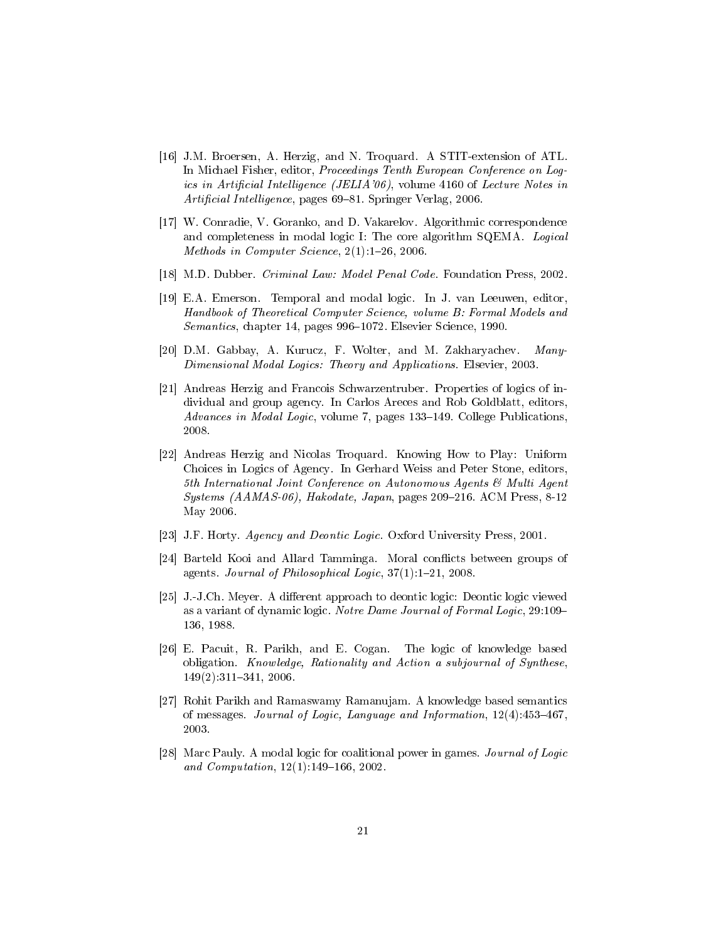- [16] J.M. Broersen, A. Herzig, and N. Troquard. A STIT-extension of ATL. In Michael Fisher, editor, Proceedings Tenth European Conference on Logics in Artificial Intelligence (JELIA'06), volume 4160 of Lecture Notes in Artificial Intelligence, pages 69–81. Springer Verlag, 2006.
- [17] W. Conradie, V. Goranko, and D. Vakarelov. Algorithmic correspondence and completeness in modal logic I: The core algorithm SQEMA. Logical Methods in Computer Science,  $2(1)$ :1-26, 2006.
- [18] M.D. Dubber. *Criminal Law: Model Penal Code*. Foundation Press, 2002.
- [19] E.A. Emerson. Temporal and modal logic. In J. van Leeuwen, editor, Handbook of Theoretical Computer Science, volume B: Formal Models and Semantics, chapter 14, pages 996-1072. Elsevier Science, 1990.
- [20] D.M. Gabbay, A. Kurucz, F. Wolter, and M. Zakharyachev. Many-Dimensional Modal Logics: Theory and Applications. Elsevier, 2003.
- [21] Andreas Herzig and Francois Schwarzentruber. Properties of logics of individual and group agency. In Carlos Areces and Rob Goldblatt, editors, Advances in Modal Logic, volume 7, pages  $133-149$ . College Publications, 2008.
- [22] Andreas Herzig and Nicolas Troquard. Knowing How to Play: Uniform Choices in Logics of Agency. In Gerhard Weiss and Peter Stone, editors, 5th International Joint Conference on Autonomous Agents & Multi Agent  $Systems (AAMAS-06), Hakodate, Japan, pages 209-216. ACM Press, 8-12$ May 2006.
- [23] J.F. Horty. Agency and Deontic Logic. Oxford University Press, 2001.
- [24] Barteld Kooi and Allard Tamminga. Moral conflicts between groups of agents. Journal of Philosophical Logic,  $37(1):1-21$ , 2008.
- [25] J.-J.Ch. Meyer. A different approach to deontic logic: Deontic logic viewed as a variant of dynamic logic. Notre Dame Journal of Formal Logic, 29:109 136, 1988.
- [26] E. Pacuit, R. Parikh, and E. Cogan. The logic of knowledge based obligation. Knowledge, Rationality and Action a subjournal of Synthese,  $149(2)$ : 311-341, 2006.
- [27] Rohit Parikh and Ramaswamy Ramanujam. A knowledge based semantics of messages. Journal of Logic, Language and Information,  $12(4)$ : 453–467, 2003.
- [28] Marc Pauly. A modal logic for coalitional power in games. Journal of Logic and *Computation*,  $12(1)$ :149-166, 2002.